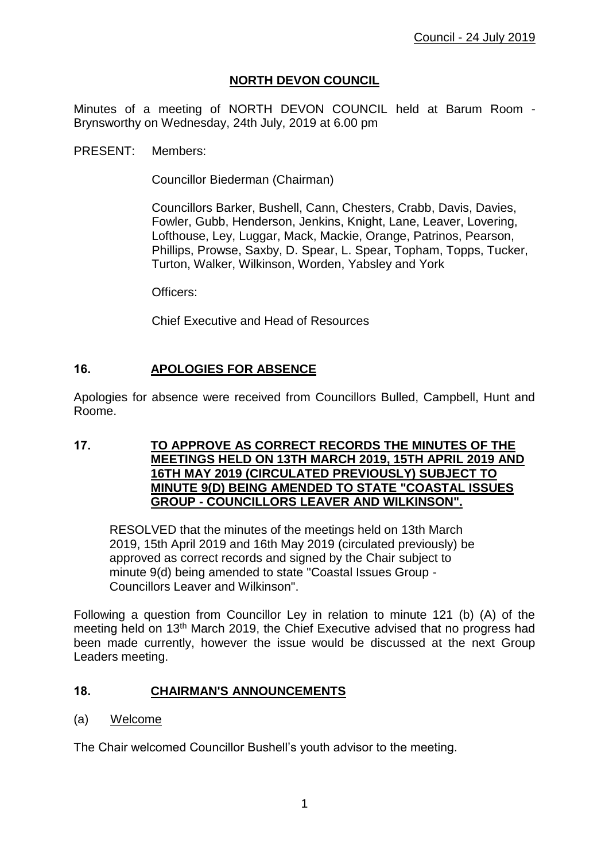# **NORTH DEVON COUNCIL**

Minutes of a meeting of NORTH DEVON COUNCIL held at Barum Room - Brynsworthy on Wednesday, 24th July, 2019 at 6.00 pm

PRESENT: Members:

Councillor Biederman (Chairman)

Councillors Barker, Bushell, Cann, Chesters, Crabb, Davis, Davies, Fowler, Gubb, Henderson, Jenkins, Knight, Lane, Leaver, Lovering, Lofthouse, Ley, Luggar, Mack, Mackie, Orange, Patrinos, Pearson, Phillips, Prowse, Saxby, D. Spear, L. Spear, Topham, Topps, Tucker, Turton, Walker, Wilkinson, Worden, Yabsley and York

Officers:

Chief Executive and Head of Resources

## **16. APOLOGIES FOR ABSENCE**

Apologies for absence were received from Councillors Bulled, Campbell, Hunt and Roome.

## **17. TO APPROVE AS CORRECT RECORDS THE MINUTES OF THE MEETINGS HELD ON 13TH MARCH 2019, 15TH APRIL 2019 AND 16TH MAY 2019 (CIRCULATED PREVIOUSLY) SUBJECT TO MINUTE 9(D) BEING AMENDED TO STATE "COASTAL ISSUES GROUP - COUNCILLORS LEAVER AND WILKINSON".**

RESOLVED that the minutes of the meetings held on 13th March 2019, 15th April 2019 and 16th May 2019 (circulated previously) be approved as correct records and signed by the Chair subject to minute 9(d) being amended to state "Coastal Issues Group - Councillors Leaver and Wilkinson".

Following a question from Councillor Ley in relation to minute 121 (b) (A) of the meeting held on 13th March 2019, the Chief Executive advised that no progress had been made currently, however the issue would be discussed at the next Group Leaders meeting.

#### **18. CHAIRMAN'S ANNOUNCEMENTS**

#### (a) Welcome

The Chair welcomed Councillor Bushell's youth advisor to the meeting.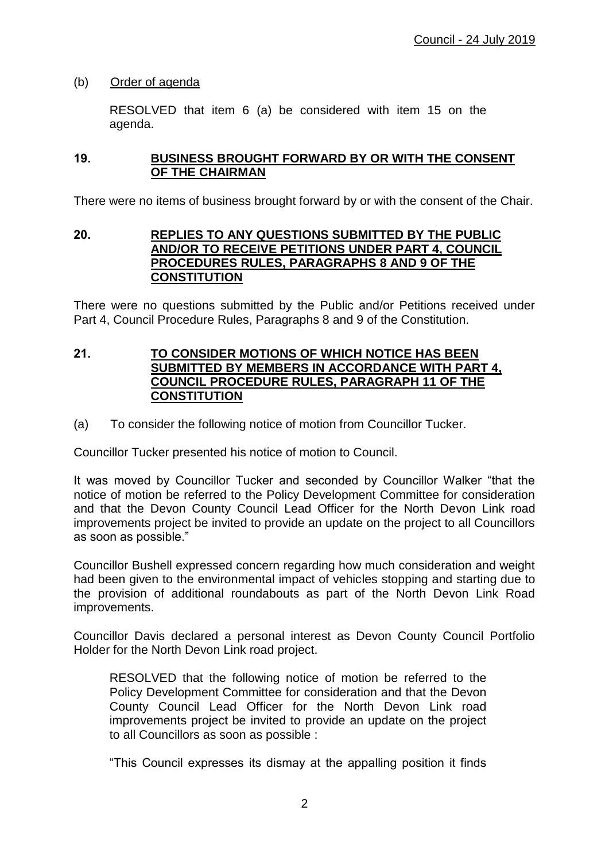## (b) Order of agenda

RESOLVED that item 6 (a) be considered with item 15 on the agenda.

### **19. BUSINESS BROUGHT FORWARD BY OR WITH THE CONSENT OF THE CHAIRMAN**

There were no items of business brought forward by or with the consent of the Chair.

#### **20. REPLIES TO ANY QUESTIONS SUBMITTED BY THE PUBLIC AND/OR TO RECEIVE PETITIONS UNDER PART 4, COUNCIL PROCEDURES RULES, PARAGRAPHS 8 AND 9 OF THE CONSTITUTION**

There were no questions submitted by the Public and/or Petitions received under Part 4, Council Procedure Rules, Paragraphs 8 and 9 of the Constitution.

#### **21. TO CONSIDER MOTIONS OF WHICH NOTICE HAS BEEN SUBMITTED BY MEMBERS IN ACCORDANCE WITH PART 4, COUNCIL PROCEDURE RULES, PARAGRAPH 11 OF THE CONSTITUTION**

(a) To consider the following notice of motion from Councillor Tucker.

Councillor Tucker presented his notice of motion to Council.

It was moved by Councillor Tucker and seconded by Councillor Walker "that the notice of motion be referred to the Policy Development Committee for consideration and that the Devon County Council Lead Officer for the North Devon Link road improvements project be invited to provide an update on the project to all Councillors as soon as possible."

Councillor Bushell expressed concern regarding how much consideration and weight had been given to the environmental impact of vehicles stopping and starting due to the provision of additional roundabouts as part of the North Devon Link Road improvements.

Councillor Davis declared a personal interest as Devon County Council Portfolio Holder for the North Devon Link road project.

RESOLVED that the following notice of motion be referred to the Policy Development Committee for consideration and that the Devon County Council Lead Officer for the North Devon Link road improvements project be invited to provide an update on the project to all Councillors as soon as possible :

"This Council expresses its dismay at the appalling position it finds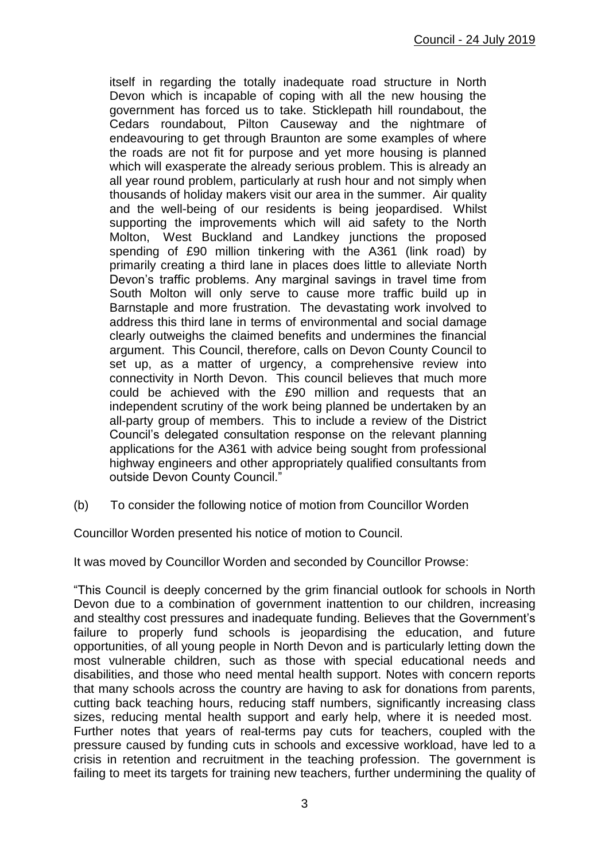itself in regarding the totally inadequate road structure in North Devon which is incapable of coping with all the new housing the government has forced us to take. Sticklepath hill roundabout, the Cedars roundabout, Pilton Causeway and the nightmare of endeavouring to get through Braunton are some examples of where the roads are not fit for purpose and yet more housing is planned which will exasperate the already serious problem. This is already an all year round problem, particularly at rush hour and not simply when thousands of holiday makers visit our area in the summer. Air quality and the well-being of our residents is being jeopardised. Whilst supporting the improvements which will aid safety to the North Molton, West Buckland and Landkey junctions the proposed spending of £90 million tinkering with the A361 (link road) by primarily creating a third lane in places does little to alleviate North Devon's traffic problems. Any marginal savings in travel time from South Molton will only serve to cause more traffic build up in Barnstaple and more frustration. The devastating work involved to address this third lane in terms of environmental and social damage clearly outweighs the claimed benefits and undermines the financial argument. This Council, therefore, calls on Devon County Council to set up, as a matter of urgency, a comprehensive review into connectivity in North Devon. This council believes that much more could be achieved with the £90 million and requests that an independent scrutiny of the work being planned be undertaken by an all-party group of members. This to include a review of the District Council's delegated consultation response on the relevant planning applications for the A361 with advice being sought from professional highway engineers and other appropriately qualified consultants from outside Devon County Council."

(b) To consider the following notice of motion from Councillor Worden

Councillor Worden presented his notice of motion to Council.

It was moved by Councillor Worden and seconded by Councillor Prowse:

"This Council is deeply concerned by the grim financial outlook for schools in North Devon due to a combination of government inattention to our children, increasing and stealthy cost pressures and inadequate funding. Believes that the Government's failure to properly fund schools is jeopardising the education, and future opportunities, of all young people in North Devon and is particularly letting down the most vulnerable children, such as those with special educational needs and disabilities, and those who need mental health support. Notes with concern reports that many schools across the country are having to ask for donations from parents, cutting back teaching hours, reducing staff numbers, significantly increasing class sizes, reducing mental health support and early help, where it is needed most. Further notes that years of real-terms pay cuts for teachers, coupled with the pressure caused by funding cuts in schools and excessive workload, have led to a crisis in retention and recruitment in the teaching profession. The government is failing to meet its targets for training new teachers, further undermining the quality of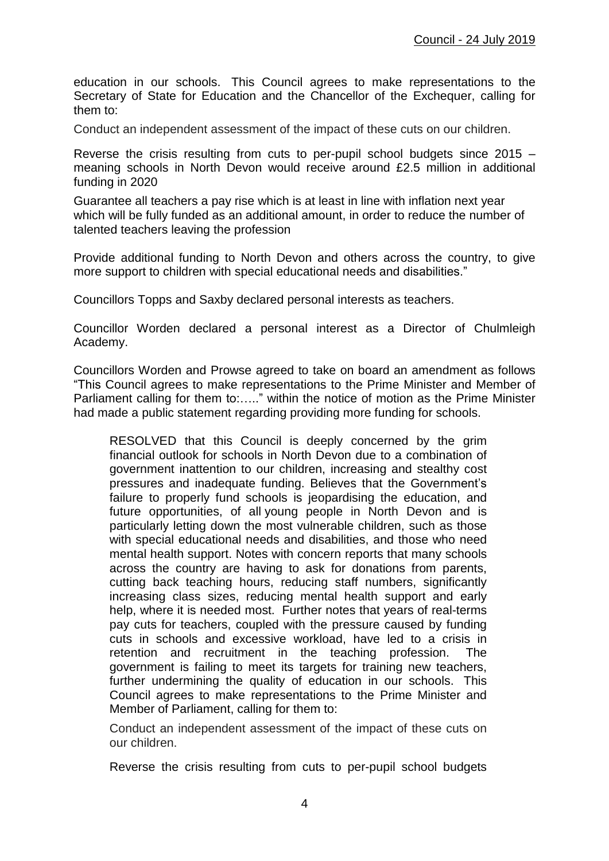education in our schools. This Council agrees to make representations to the Secretary of State for Education and the Chancellor of the Exchequer, calling for them to:

Conduct an independent assessment of the impact of these cuts on our children.

Reverse the crisis resulting from cuts to per-pupil school budgets since 2015 – meaning schools in North Devon would receive around £2.5 million in additional funding in 2020

Guarantee all teachers a pay rise which is at least in line with inflation next year which will be fully funded as an additional amount, in order to reduce the number of talented teachers leaving the profession

Provide additional funding to North Devon and others across the country, to give more support to children with special educational needs and disabilities."

Councillors Topps and Saxby declared personal interests as teachers.

Councillor Worden declared a personal interest as a Director of Chulmleigh Academy.

Councillors Worden and Prowse agreed to take on board an amendment as follows "This Council agrees to make representations to the Prime Minister and Member of Parliament calling for them to:….." within the notice of motion as the Prime Minister had made a public statement regarding providing more funding for schools.

RESOLVED that this Council is deeply concerned by the grim financial outlook for schools in North Devon due to a combination of government inattention to our children, increasing and stealthy cost pressures and inadequate funding. Believes that the Government's failure to properly fund schools is jeopardising the education, and future opportunities, of all young people in North Devon and is particularly letting down the most vulnerable children, such as those with special educational needs and disabilities, and those who need mental health support. Notes with concern reports that many schools across the country are having to ask for donations from parents, cutting back teaching hours, reducing staff numbers, significantly increasing class sizes, reducing mental health support and early help, where it is needed most. Further notes that years of real-terms pay cuts for teachers, coupled with the pressure caused by funding cuts in schools and excessive workload, have led to a crisis in retention and recruitment in the teaching profession. The government is failing to meet its targets for training new teachers, further undermining the quality of education in our schools. This Council agrees to make representations to the Prime Minister and Member of Parliament, calling for them to:

Conduct an independent assessment of the impact of these cuts on our children.

Reverse the crisis resulting from cuts to per-pupil school budgets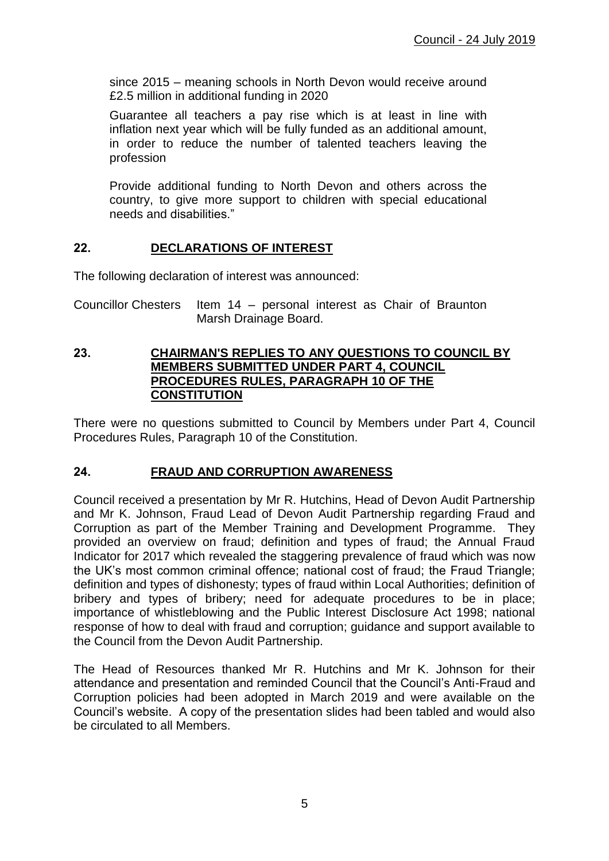since 2015 – meaning schools in North Devon would receive around £2.5 million in additional funding in 2020

Guarantee all teachers a pay rise which is at least in line with inflation next year which will be fully funded as an additional amount, in order to reduce the number of talented teachers leaving the profession

Provide additional funding to North Devon and others across the country, to give more support to children with special educational needs and disabilities."

## **22. DECLARATIONS OF INTEREST**

The following declaration of interest was announced:

Councillor Chesters Item 14 – personal interest as Chair of Braunton Marsh Drainage Board.

#### **23. CHAIRMAN'S REPLIES TO ANY QUESTIONS TO COUNCIL BY MEMBERS SUBMITTED UNDER PART 4, COUNCIL PROCEDURES RULES, PARAGRAPH 10 OF THE CONSTITUTION**

There were no questions submitted to Council by Members under Part 4, Council Procedures Rules, Paragraph 10 of the Constitution.

#### **24. FRAUD AND CORRUPTION AWARENESS**

Council received a presentation by Mr R. Hutchins, Head of Devon Audit Partnership and Mr K. Johnson, Fraud Lead of Devon Audit Partnership regarding Fraud and Corruption as part of the Member Training and Development Programme. They provided an overview on fraud; definition and types of fraud; the Annual Fraud Indicator for 2017 which revealed the staggering prevalence of fraud which was now the UK's most common criminal offence; national cost of fraud; the Fraud Triangle; definition and types of dishonesty; types of fraud within Local Authorities; definition of bribery and types of bribery; need for adequate procedures to be in place; importance of whistleblowing and the Public Interest Disclosure Act 1998; national response of how to deal with fraud and corruption; guidance and support available to the Council from the Devon Audit Partnership.

The Head of Resources thanked Mr R. Hutchins and Mr K. Johnson for their attendance and presentation and reminded Council that the Council's Anti-Fraud and Corruption policies had been adopted in March 2019 and were available on the Council's website. A copy of the presentation slides had been tabled and would also be circulated to all Members.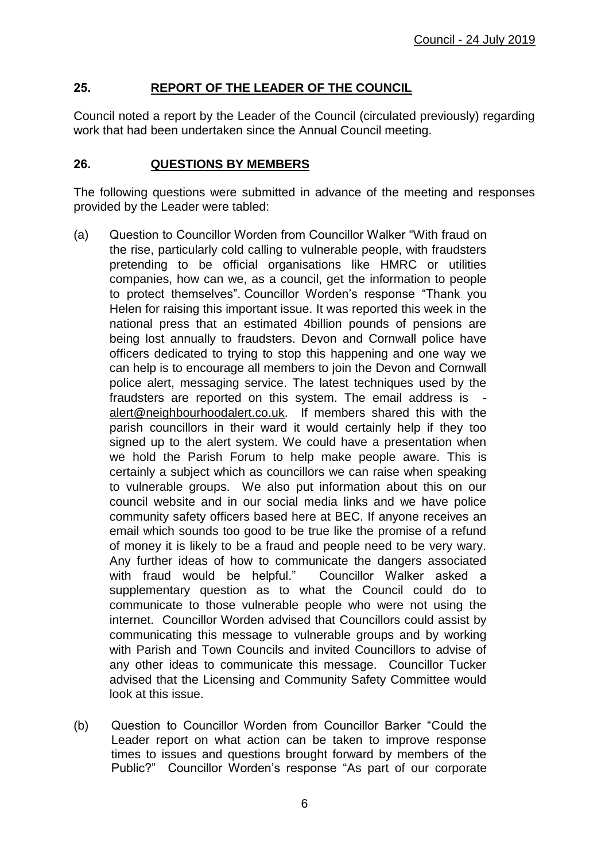# **25. REPORT OF THE LEADER OF THE COUNCIL**

Council noted a report by the Leader of the Council (circulated previously) regarding work that had been undertaken since the Annual Council meeting.

## **26. QUESTIONS BY MEMBERS**

The following questions were submitted in advance of the meeting and responses provided by the Leader were tabled:

- (a) Question to Councillor Worden from Councillor Walker "With fraud on the rise, particularly cold calling to vulnerable people, with fraudsters pretending to be official organisations like HMRC or utilities companies, how can we, as a council, get the information to people to protect themselves". Councillor Worden's response "Thank you Helen for raising this important issue. It was reported this week in the national press that an estimated 4billion pounds of pensions are being lost annually to fraudsters. Devon and Cornwall police have officers dedicated to trying to stop this happening and one way we can help is to encourage all members to join the Devon and Cornwall police alert, messaging service. The latest techniques used by the fraudsters are reported on this system. The email address is [alert@neighbourhoodalert.co.uk.](mailto:alert@neighbourhoodalert.co.uk) If members shared this with the parish councillors in their ward it would certainly help if they too signed up to the alert system. We could have a presentation when we hold the Parish Forum to help make people aware. This is certainly a subject which as councillors we can raise when speaking to vulnerable groups. We also put information about this on our council website and in our social media links and we have police community safety officers based here at BEC. If anyone receives an email which sounds too good to be true like the promise of a refund of money it is likely to be a fraud and people need to be very wary. Any further ideas of how to communicate the dangers associated with fraud would be helpful." Councillor Walker asked a supplementary question as to what the Council could do to communicate to those vulnerable people who were not using the internet. Councillor Worden advised that Councillors could assist by communicating this message to vulnerable groups and by working with Parish and Town Councils and invited Councillors to advise of any other ideas to communicate this message. Councillor Tucker advised that the Licensing and Community Safety Committee would look at this issue.
- (b) Question to Councillor Worden from Councillor Barker "Could the Leader report on what action can be taken to improve response times to issues and questions brought forward by members of the Public?" Councillor Worden's response "As part of our corporate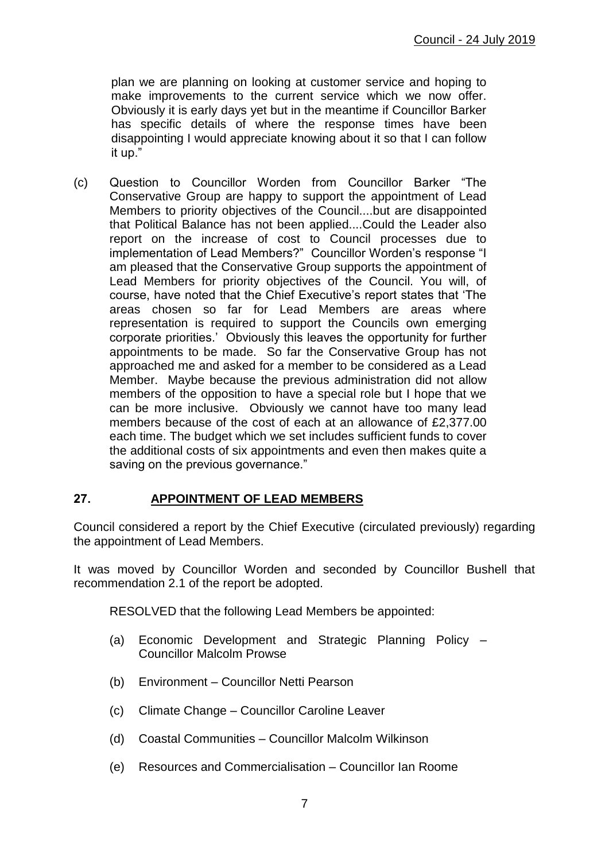plan we are planning on looking at customer service and hoping to make improvements to the current service which we now offer. Obviously it is early days yet but in the meantime if Councillor Barker has specific details of where the response times have been disappointing I would appreciate knowing about it so that I can follow it up."

(c) Question to Councillor Worden from Councillor Barker "The Conservative Group are happy to support the appointment of Lead Members to priority objectives of the Council....but are disappointed that Political Balance has not been applied....Could the Leader also report on the increase of cost to Council processes due to implementation of Lead Members?" Councillor Worden's response "I am pleased that the Conservative Group supports the appointment of Lead Members for priority objectives of the Council. You will, of course, have noted that the Chief Executive's report states that 'The areas chosen so far for Lead Members are areas where representation is required to support the Councils own emerging corporate priorities.' Obviously this leaves the opportunity for further appointments to be made. So far the Conservative Group has not approached me and asked for a member to be considered as a Lead Member. Maybe because the previous administration did not allow members of the opposition to have a special role but I hope that we can be more inclusive. Obviously we cannot have too many lead members because of the cost of each at an allowance of £2,377.00 each time. The budget which we set includes sufficient funds to cover the additional costs of six appointments and even then makes quite a saving on the previous governance."

# **27. APPOINTMENT OF LEAD MEMBERS**

Council considered a report by the Chief Executive (circulated previously) regarding the appointment of Lead Members.

It was moved by Councillor Worden and seconded by Councillor Bushell that recommendation 2.1 of the report be adopted.

RESOLVED that the following Lead Members be appointed:

- (a) Economic Development and Strategic Planning Policy Councillor Malcolm Prowse
- (b) Environment Councillor Netti Pearson
- (c) Climate Change Councillor Caroline Leaver
- (d) Coastal Communities Councillor Malcolm Wilkinson
- (e) Resources and Commercialisation CounciIlor Ian Roome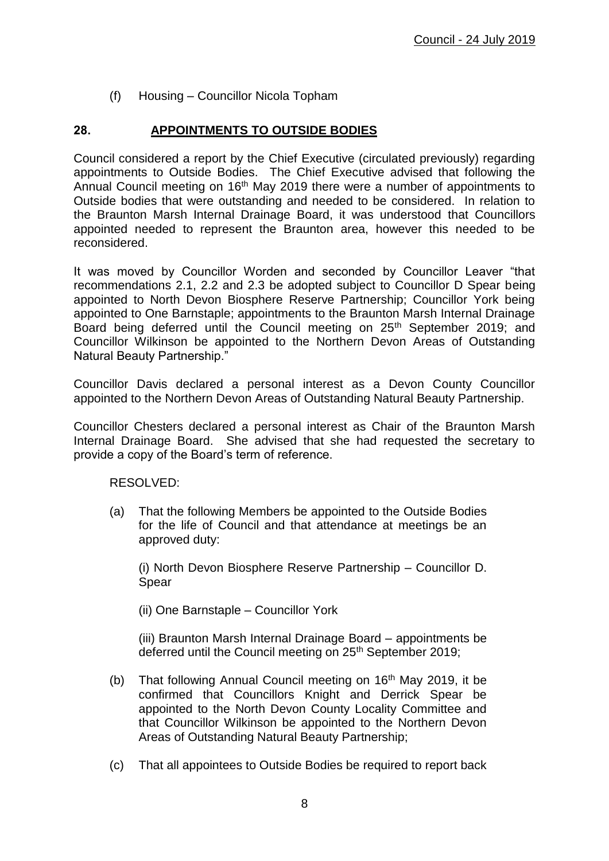(f) Housing – Councillor Nicola Topham

# **28. APPOINTMENTS TO OUTSIDE BODIES**

Council considered a report by the Chief Executive (circulated previously) regarding appointments to Outside Bodies. The Chief Executive advised that following the Annual Council meeting on 16<sup>th</sup> May 2019 there were a number of appointments to Outside bodies that were outstanding and needed to be considered. In relation to the Braunton Marsh Internal Drainage Board, it was understood that Councillors appointed needed to represent the Braunton area, however this needed to be reconsidered.

It was moved by Councillor Worden and seconded by Councillor Leaver "that recommendations 2.1, 2.2 and 2.3 be adopted subject to Councillor D Spear being appointed to North Devon Biosphere Reserve Partnership; Councillor York being appointed to One Barnstaple; appointments to the Braunton Marsh Internal Drainage Board being deferred until the Council meeting on 25<sup>th</sup> September 2019; and Councillor Wilkinson be appointed to the Northern Devon Areas of Outstanding Natural Beauty Partnership."

Councillor Davis declared a personal interest as a Devon County Councillor appointed to the Northern Devon Areas of Outstanding Natural Beauty Partnership.

Councillor Chesters declared a personal interest as Chair of the Braunton Marsh Internal Drainage Board. She advised that she had requested the secretary to provide a copy of the Board's term of reference.

RESOLVED:

(a) That the following Members be appointed to the Outside Bodies for the life of Council and that attendance at meetings be an approved duty:

(i) North Devon Biosphere Reserve Partnership – Councillor D. Spear

(ii) One Barnstaple – Councillor York

(iii) Braunton Marsh Internal Drainage Board – appointments be deferred until the Council meeting on 25<sup>th</sup> September 2019;

- (b) That following Annual Council meeting on  $16<sup>th</sup>$  May 2019, it be confirmed that Councillors Knight and Derrick Spear be appointed to the North Devon County Locality Committee and that Councillor Wilkinson be appointed to the Northern Devon Areas of Outstanding Natural Beauty Partnership;
- (c) That all appointees to Outside Bodies be required to report back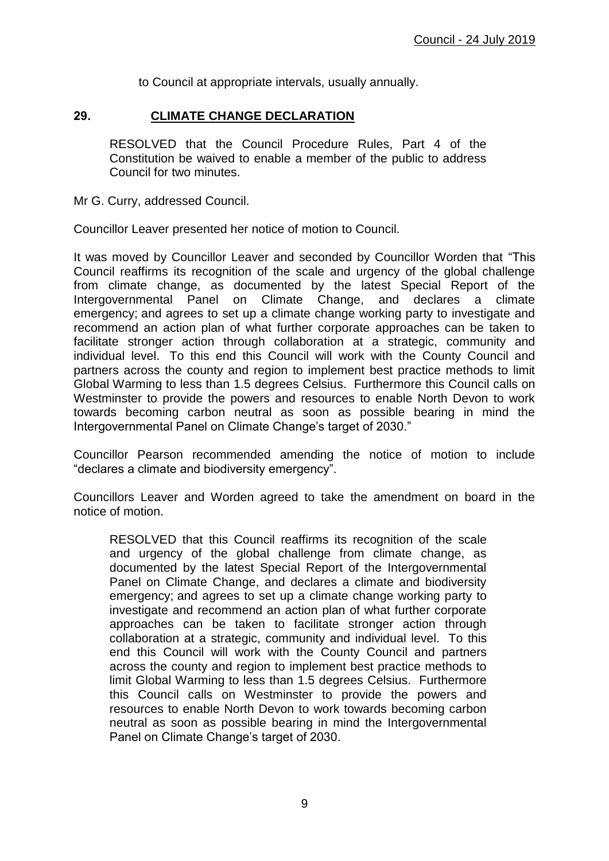to Council at appropriate intervals, usually annually.

#### **29. CLIMATE CHANGE DECLARATION**

RESOLVED that the Council Procedure Rules, Part 4 of the Constitution be waived to enable a member of the public to address Council for two minutes.

Mr G. Curry, addressed Council.

Councillor Leaver presented her notice of motion to Council.

It was moved by Councillor Leaver and seconded by Councillor Worden that "This Council reaffirms its recognition of the scale and urgency of the global challenge from climate change, as documented by the latest Special Report of the Intergovernmental Panel on Climate Change, and declares a climate emergency; and agrees to set up a climate change working party to investigate and recommend an action plan of what further corporate approaches can be taken to facilitate stronger action through collaboration at a strategic, community and individual level. To this end this Council will work with the County Council and partners across the county and region to implement best practice methods to limit Global Warming to less than 1.5 degrees Celsius. Furthermore this Council calls on Westminster to provide the powers and resources to enable North Devon to work towards becoming carbon neutral as soon as possible bearing in mind the Intergovernmental Panel on Climate Change's target of 2030."

Councillor Pearson recommended amending the notice of motion to include "declares a climate and biodiversity emergency".

Councillors Leaver and Worden agreed to take the amendment on board in the notice of motion.

RESOLVED that this Council reaffirms its recognition of the scale and urgency of the global challenge from climate change, as documented by the latest Special Report of the Intergovernmental Panel on Climate Change, and declares a climate and biodiversity emergency; and agrees to set up a climate change working party to investigate and recommend an action plan of what further corporate approaches can be taken to facilitate stronger action through collaboration at a strategic, community and individual level. To this end this Council will work with the County Council and partners across the county and region to implement best practice methods to limit Global Warming to less than 1.5 degrees Celsius. Furthermore this Council calls on Westminster to provide the powers and resources to enable North Devon to work towards becoming carbon neutral as soon as possible bearing in mind the Intergovernmental Panel on Climate Change's target of 2030.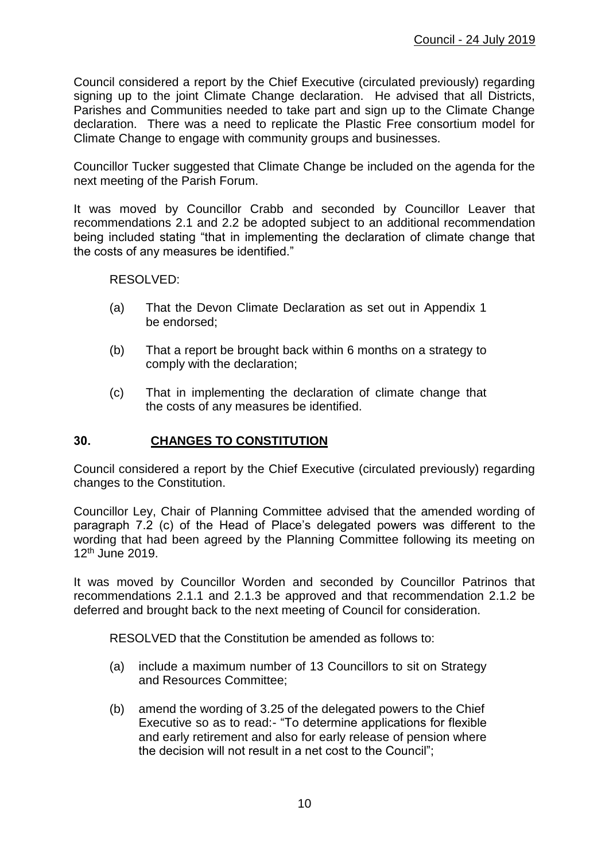Council considered a report by the Chief Executive (circulated previously) regarding signing up to the joint Climate Change declaration. He advised that all Districts, Parishes and Communities needed to take part and sign up to the Climate Change declaration. There was a need to replicate the Plastic Free consortium model for Climate Change to engage with community groups and businesses.

Councillor Tucker suggested that Climate Change be included on the agenda for the next meeting of the Parish Forum.

It was moved by Councillor Crabb and seconded by Councillor Leaver that recommendations 2.1 and 2.2 be adopted subject to an additional recommendation being included stating "that in implementing the declaration of climate change that the costs of any measures be identified."

RESOLVED:

- (a) That the Devon Climate Declaration as set out in Appendix 1 be endorsed;
- (b) That a report be brought back within 6 months on a strategy to comply with the declaration;
- (c) That in implementing the declaration of climate change that the costs of any measures be identified.

#### **30. CHANGES TO CONSTITUTION**

Council considered a report by the Chief Executive (circulated previously) regarding changes to the Constitution.

Councillor Ley, Chair of Planning Committee advised that the amended wording of paragraph 7.2 (c) of the Head of Place's delegated powers was different to the wording that had been agreed by the Planning Committee following its meeting on 12th June 2019.

It was moved by Councillor Worden and seconded by Councillor Patrinos that recommendations 2.1.1 and 2.1.3 be approved and that recommendation 2.1.2 be deferred and brought back to the next meeting of Council for consideration.

RESOLVED that the Constitution be amended as follows to:

- (a) include a maximum number of 13 Councillors to sit on Strategy and Resources Committee;
- (b) amend the wording of 3.25 of the delegated powers to the Chief Executive so as to read:- "To determine applications for flexible and early retirement and also for early release of pension where the decision will not result in a net cost to the Council";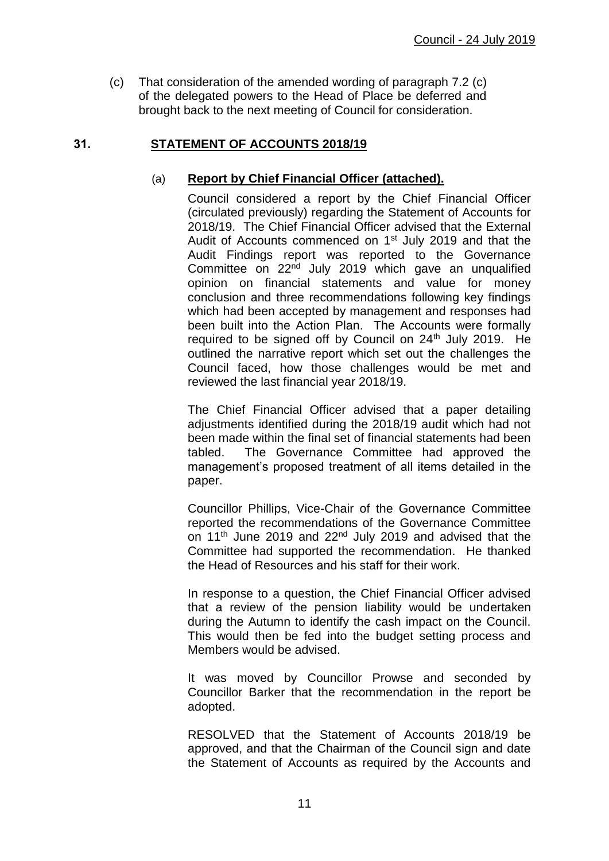(c) That consideration of the amended wording of paragraph 7.2 (c) of the delegated powers to the Head of Place be deferred and brought back to the next meeting of Council for consideration.

## **31. STATEMENT OF ACCOUNTS 2018/19**

## (a) **Report by Chief Financial Officer (attached).**

Council considered a report by the Chief Financial Officer (circulated previously) regarding the Statement of Accounts for 2018/19. The Chief Financial Officer advised that the External Audit of Accounts commenced on 1<sup>st</sup> July 2019 and that the Audit Findings report was reported to the Governance Committee on 22nd July 2019 which gave an unqualified opinion on financial statements and value for money conclusion and three recommendations following key findings which had been accepted by management and responses had been built into the Action Plan. The Accounts were formally required to be signed off by Council on 24<sup>th</sup> July 2019. He outlined the narrative report which set out the challenges the Council faced, how those challenges would be met and reviewed the last financial year 2018/19.

The Chief Financial Officer advised that a paper detailing adjustments identified during the 2018/19 audit which had not been made within the final set of financial statements had been tabled. The Governance Committee had approved the management's proposed treatment of all items detailed in the paper.

Councillor Phillips, Vice-Chair of the Governance Committee reported the recommendations of the Governance Committee on 11<sup>th</sup> June 2019 and 22<sup>nd</sup> July 2019 and advised that the Committee had supported the recommendation. He thanked the Head of Resources and his staff for their work.

In response to a question, the Chief Financial Officer advised that a review of the pension liability would be undertaken during the Autumn to identify the cash impact on the Council. This would then be fed into the budget setting process and Members would be advised.

It was moved by Councillor Prowse and seconded by Councillor Barker that the recommendation in the report be adopted.

RESOLVED that the Statement of Accounts 2018/19 be approved, and that the Chairman of the Council sign and date the Statement of Accounts as required by the Accounts and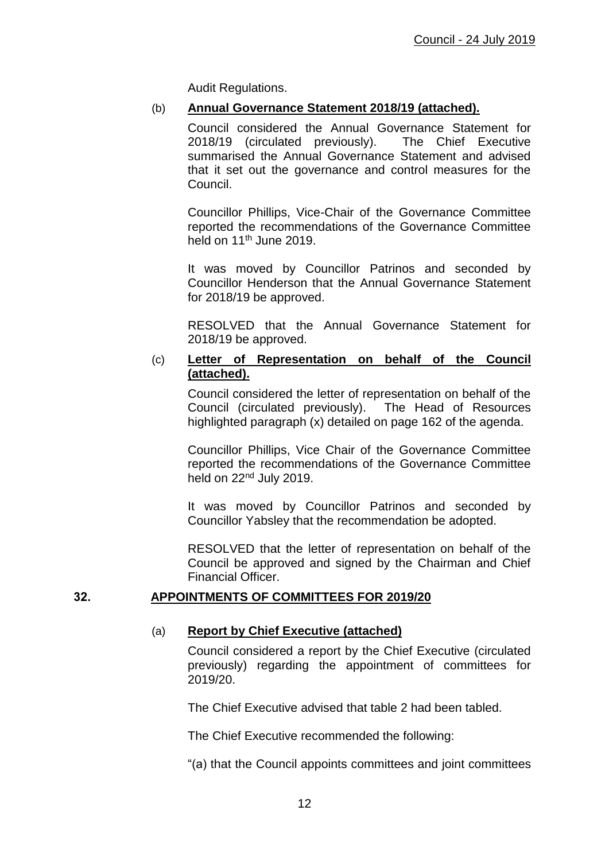Audit Regulations.

#### (b) **Annual Governance Statement 2018/19 (attached).**

Council considered the Annual Governance Statement for 2018/19 (circulated previously). The Chief Executive summarised the Annual Governance Statement and advised that it set out the governance and control measures for the Council.

Councillor Phillips, Vice-Chair of the Governance Committee reported the recommendations of the Governance Committee held on  $11<sup>th</sup>$  June 2019.

It was moved by Councillor Patrinos and seconded by Councillor Henderson that the Annual Governance Statement for 2018/19 be approved.

RESOLVED that the Annual Governance Statement for 2018/19 be approved.

#### (c) **Letter of Representation on behalf of the Council (attached).**

Council considered the letter of representation on behalf of the Council (circulated previously). The Head of Resources highlighted paragraph (x) detailed on page 162 of the agenda.

Councillor Phillips, Vice Chair of the Governance Committee reported the recommendations of the Governance Committee held on 22nd July 2019.

It was moved by Councillor Patrinos and seconded by Councillor Yabsley that the recommendation be adopted.

RESOLVED that the letter of representation on behalf of the Council be approved and signed by the Chairman and Chief Financial Officer.

#### **32. APPOINTMENTS OF COMMITTEES FOR 2019/20**

## (a) **Report by Chief Executive (attached)**

Council considered a report by the Chief Executive (circulated previously) regarding the appointment of committees for 2019/20.

The Chief Executive advised that table 2 had been tabled.

The Chief Executive recommended the following:

"(a) that the Council appoints committees and joint committees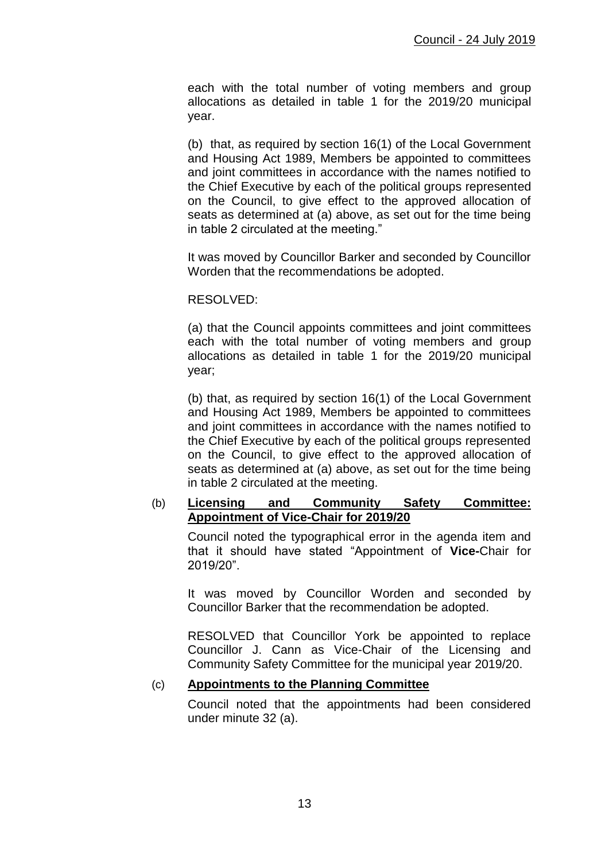each with the total number of voting members and group allocations as detailed in table 1 for the 2019/20 municipal year.

(b) that, as required by section 16(1) of the Local Government and Housing Act 1989, Members be appointed to committees and joint committees in accordance with the names notified to the Chief Executive by each of the political groups represented on the Council, to give effect to the approved allocation of seats as determined at (a) above, as set out for the time being in table 2 circulated at the meeting."

It was moved by Councillor Barker and seconded by Councillor Worden that the recommendations be adopted.

#### RESOLVED:

(a) that the Council appoints committees and joint committees each with the total number of voting members and group allocations as detailed in table 1 for the 2019/20 municipal year;

(b) that, as required by section 16(1) of the Local Government and Housing Act 1989, Members be appointed to committees and joint committees in accordance with the names notified to the Chief Executive by each of the political groups represented on the Council, to give effect to the approved allocation of seats as determined at (a) above, as set out for the time being in table 2 circulated at the meeting.

#### (b) **Licensing and Community Safety Committee: Appointment of Vice-Chair for 2019/20**

Council noted the typographical error in the agenda item and that it should have stated "Appointment of **Vice-**Chair for 2019/20".

It was moved by Councillor Worden and seconded by Councillor Barker that the recommendation be adopted.

RESOLVED that Councillor York be appointed to replace Councillor J. Cann as Vice-Chair of the Licensing and Community Safety Committee for the municipal year 2019/20.

## (c) **Appointments to the Planning Committee**

Council noted that the appointments had been considered under minute 32 (a).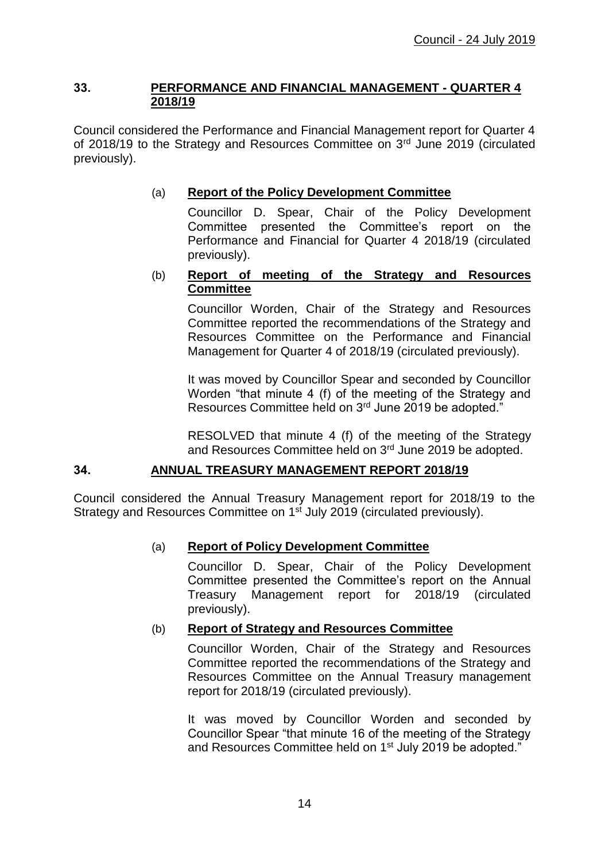#### **33. PERFORMANCE AND FINANCIAL MANAGEMENT - QUARTER 4 2018/19**

Council considered the Performance and Financial Management report for Quarter 4 of 2018/19 to the Strategy and Resources Committee on 3<sup>rd</sup> June 2019 (circulated previously).

## (a) **Report of the Policy Development Committee**

Councillor D. Spear, Chair of the Policy Development Committee presented the Committee's report on the Performance and Financial for Quarter 4 2018/19 (circulated previously).

## (b) **Report of meeting of the Strategy and Resources Committee**

Councillor Worden, Chair of the Strategy and Resources Committee reported the recommendations of the Strategy and Resources Committee on the Performance and Financial Management for Quarter 4 of 2018/19 (circulated previously).

It was moved by Councillor Spear and seconded by Councillor Worden "that minute 4 (f) of the meeting of the Strategy and Resources Committee held on 3rd June 2019 be adopted."

RESOLVED that minute 4 (f) of the meeting of the Strategy and Resources Committee held on 3rd June 2019 be adopted.

# **34. ANNUAL TREASURY MANAGEMENT REPORT 2018/19**

Council considered the Annual Treasury Management report for 2018/19 to the Strategy and Resources Committee on 1<sup>st</sup> July 2019 (circulated previously).

# (a) **Report of Policy Development Committee**

Councillor D. Spear, Chair of the Policy Development Committee presented the Committee's report on the Annual Treasury Management report for 2018/19 (circulated previously).

#### (b) **Report of Strategy and Resources Committee**

Councillor Worden, Chair of the Strategy and Resources Committee reported the recommendations of the Strategy and Resources Committee on the Annual Treasury management report for 2018/19 (circulated previously).

It was moved by Councillor Worden and seconded by Councillor Spear "that minute 16 of the meeting of the Strategy and Resources Committee held on 1<sup>st</sup> July 2019 be adopted."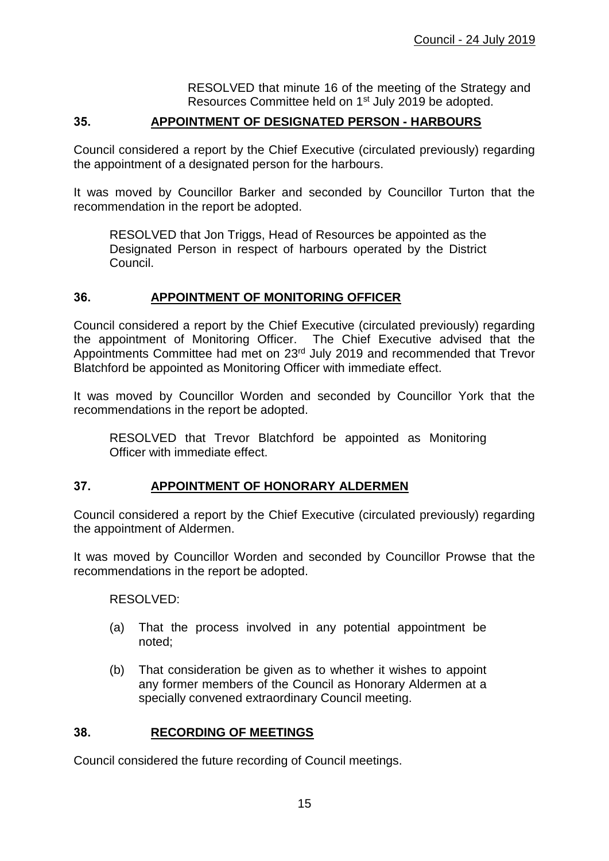RESOLVED that minute 16 of the meeting of the Strategy and Resources Committee held on 1<sup>st</sup> July 2019 be adopted.

## **35. APPOINTMENT OF DESIGNATED PERSON - HARBOURS**

Council considered a report by the Chief Executive (circulated previously) regarding the appointment of a designated person for the harbours.

It was moved by Councillor Barker and seconded by Councillor Turton that the recommendation in the report be adopted.

RESOLVED that Jon Triggs, Head of Resources be appointed as the Designated Person in respect of harbours operated by the District Council.

#### **36. APPOINTMENT OF MONITORING OFFICER**

Council considered a report by the Chief Executive (circulated previously) regarding the appointment of Monitoring Officer. The Chief Executive advised that the Appointments Committee had met on 23rd July 2019 and recommended that Trevor Blatchford be appointed as Monitoring Officer with immediate effect.

It was moved by Councillor Worden and seconded by Councillor York that the recommendations in the report be adopted.

RESOLVED that Trevor Blatchford be appointed as Monitoring Officer with immediate effect.

# **37. APPOINTMENT OF HONORARY ALDERMEN**

Council considered a report by the Chief Executive (circulated previously) regarding the appointment of Aldermen.

It was moved by Councillor Worden and seconded by Councillor Prowse that the recommendations in the report be adopted.

RESOLVED:

- (a) That the process involved in any potential appointment be noted;
- (b) That consideration be given as to whether it wishes to appoint any former members of the Council as Honorary Aldermen at a specially convened extraordinary Council meeting.

#### **38. RECORDING OF MEETINGS**

Council considered the future recording of Council meetings.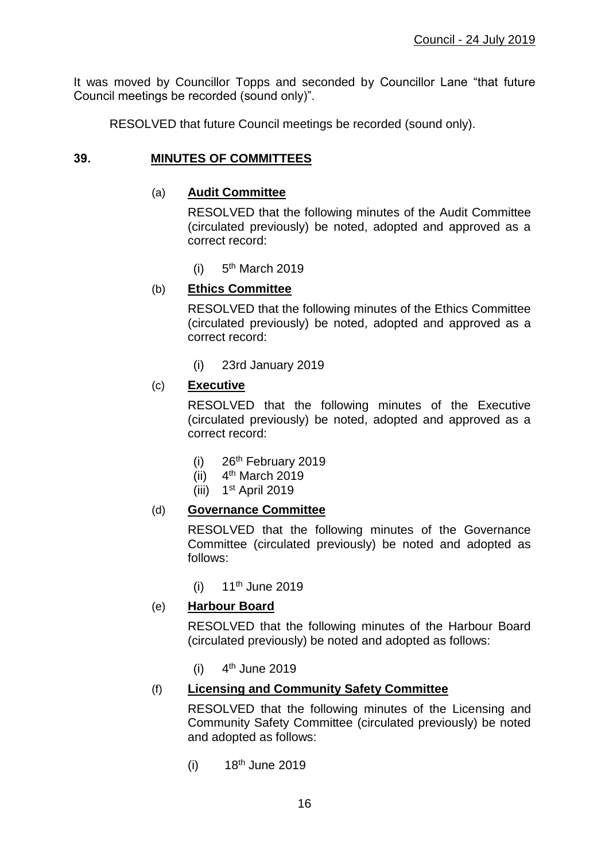It was moved by Councillor Topps and seconded by Councillor Lane "that future Council meetings be recorded (sound only)".

RESOLVED that future Council meetings be recorded (sound only).

# **39. MINUTES OF COMMITTEES**

## (a) **Audit Committee**

RESOLVED that the following minutes of the Audit Committee (circulated previously) be noted, adopted and approved as a correct record:

 $(i)$  $5<sup>th</sup>$  March 2019

## (b) **Ethics Committee**

RESOLVED that the following minutes of the Ethics Committee (circulated previously) be noted, adopted and approved as a correct record:

(i) 23rd January 2019

## (c) **Executive**

RESOLVED that the following minutes of the Executive (circulated previously) be noted, adopted and approved as a correct record:

- $(i)$  26<sup>th</sup> February 2019
- $(ii)$  4<sup>th</sup> March 2019
- (iii) 1<sup>st</sup> April 2019

# (d) **Governance Committee**

RESOLVED that the following minutes of the Governance Committee (circulated previously) be noted and adopted as follows:

 $(i)$  11<sup>th</sup> June 2019

#### (e) **Harbour Board**

RESOLVED that the following minutes of the Harbour Board (circulated previously) be noted and adopted as follows:

 $(i)$  $4<sup>th</sup>$  June 2019

# (f) **Licensing and Community Safety Committee**

RESOLVED that the following minutes of the Licensing and Community Safety Committee (circulated previously) be noted and adopted as follows:

 $(i)$  18<sup>th</sup> June 2019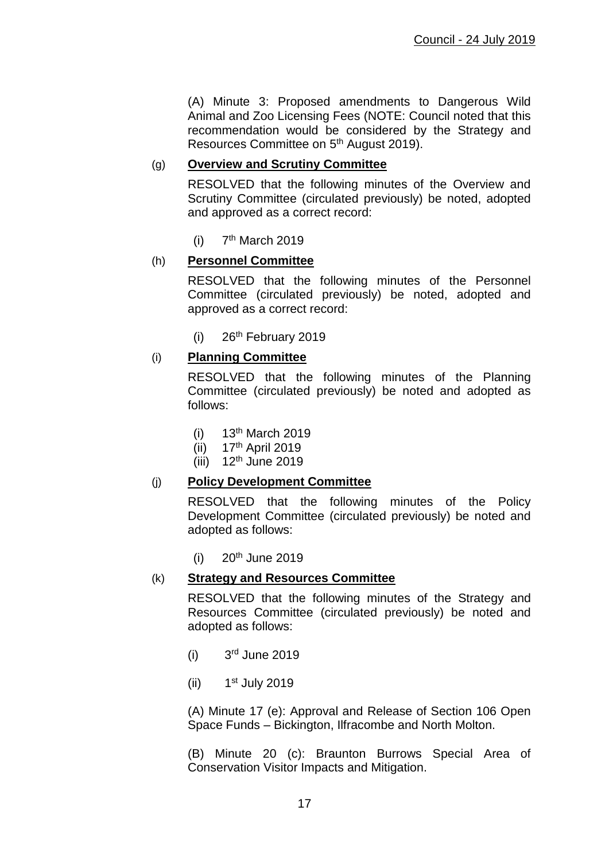(A) Minute 3: Proposed amendments to Dangerous Wild Animal and Zoo Licensing Fees (NOTE: Council noted that this recommendation would be considered by the Strategy and Resources Committee on 5th August 2019).

## (g) **Overview and Scrutiny Committee**

RESOLVED that the following minutes of the Overview and Scrutiny Committee (circulated previously) be noted, adopted and approved as a correct record:

 $(i)$ 7<sup>th</sup> March 2019

#### (h) **Personnel Committee**

RESOLVED that the following minutes of the Personnel Committee (circulated previously) be noted, adopted and approved as a correct record:

 $(i)$  26<sup>th</sup> February 2019

#### (i) **Planning Committee**

RESOLVED that the following minutes of the Planning Committee (circulated previously) be noted and adopted as follows:

- $(i)$  13<sup>th</sup> March 2019
- $(iii)$  17<sup>th</sup> April 2019
- $(iii)$  12<sup>th</sup> June 2019

#### (j) **Policy Development Committee**

RESOLVED that the following minutes of the Policy Development Committee (circulated previously) be noted and adopted as follows:

 $(i)$  20<sup>th</sup> June 2019

#### (k) **Strategy and Resources Committee**

RESOLVED that the following minutes of the Strategy and Resources Committee (circulated previously) be noted and adopted as follows:

- $(i)$ 3rd June 2019
- $(ii)$ 1<sup>st</sup> July 2019

(A) Minute 17 (e): Approval and Release of Section 106 Open Space Funds – Bickington, Ilfracombe and North Molton.

(B) Minute 20 (c): Braunton Burrows Special Area of Conservation Visitor Impacts and Mitigation.